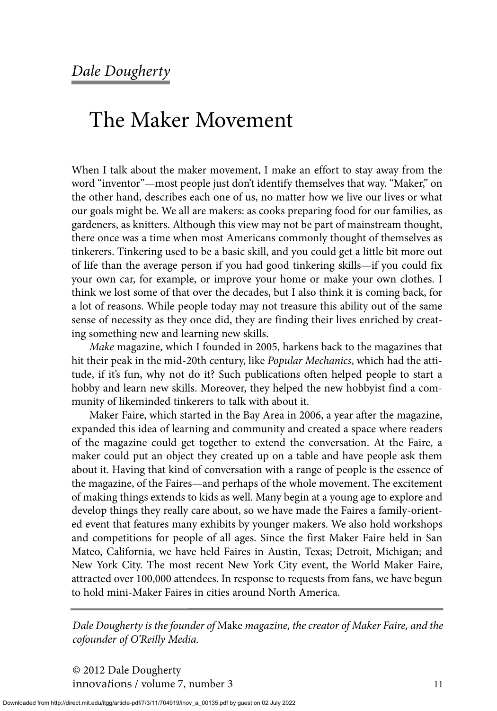# The Maker Movement

When I talk about the maker movement, I make an effort to stay away from the word "inventor"—most people just don't identify themselves that way. "Maker," on the other hand, describes each one of us, no matter how we live our lives or what our goals might be. We all are makers: as cooks preparing food for our families, as gardeners, as knitters. Although this view may not be part of mainstream thought, there once was a time when most Americans commonly thought of themselves as tinkerers. Tinkering used to be a basic skill, and you could get a little bit more out of life than the average person if you had good tinkering skills—if you could fix your own car, for example, or improve your home or make your own clothes. I think we lost some of that over the decades, but I also think it is coming back, for a lot of reasons. While people today may not treasure this ability out of the same sense of necessity as they once did, they are finding their lives enriched by creating something new and learning new skills.

*Make* magazine, which I founded in 2005, harkens back to the magazines that hit their peak in the mid-20th century, like *Popular Mechanics*, which had the attitude, if it's fun, why not do it? Such publications often helped people to start a hobby and learn new skills. Moreover, they helped the new hobbyist find a community of likeminded tinkerers to talk with about it.

Maker Faire, which started in the Bay Area in 2006, a year after the magazine, expanded this idea of learning and community and created a space where readers of the magazine could get together to extend the conversation. At the Faire, a maker could put an object they created up on a table and have people ask them about it. Having that kind of conversation with a range of people is the essence of the magazine, of the Faires—and perhaps of the whole movement. The excitement of making things extends to kids as well. Many begin at a young age to explore and develop things they really care about, so we have made the Faires a family-oriented event that features many exhibits by younger makers. We also hold workshops and competitions for people of all ages. Since the first Maker Faire held in San Mateo, California, we have held Faires in Austin, Texas; Detroit, Michigan; and New York City. The most recent New York City event, the World Maker Faire, attracted over 100,000 attendees. In response to requests from fans, we have begun to hold mini-Maker Faires in cities around North America.

*Dale Dougherty is the founder of* Make *magazine, the creator of Maker Faire, and the cofounder of O'Reilly Media.*

© 2012 Dale Dougherty innovations / volume 7, number 3 11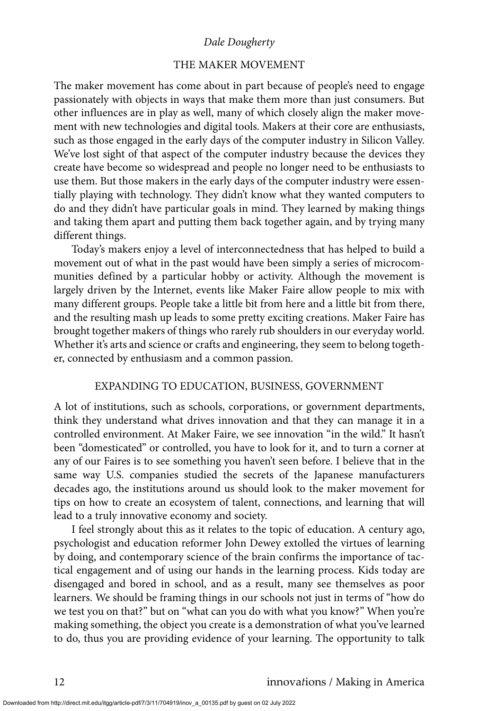## *Dale Dougherty*

#### THE MAKER MOVEMENT

The maker movement has come about in part because of people's need to engage passionately with objects in ways that make them more than just consumers. But other influences are in play as well, many of which closely align the maker movement with new technologies and digital tools. Makers at their core are enthusiasts, such as those engaged in the early days of the computer industry in Silicon Valley. We've lost sight of that aspect of the computer industry because the devices they create have become so widespread and people no longer need to be enthusiasts to use them. But those makers in the early days of the computer industry were essentially playing with technology. They didn't know what they wanted computers to do and they didn't have particular goals in mind. They learned by making things and taking them apart and putting them back together again, and by trying many different things.

Today's makers enjoy a level of interconnectedness that has helped to build a movement out of what in the past would have been simply a series of microcommunities defined by a particular hobby or activity. Although the movement is largely driven by the Internet, events like Maker Faire allow people to mix with many different groups. People take a little bit from here and a little bit from there, and the resulting mash up leads to some pretty exciting creations. Maker Faire has brought together makers of things who rarely rub shoulders in our everyday world. Whether it's arts and science or crafts and engineering, they seem to belong together, connected by enthusiasm and a common passion.

#### EXPANDING TO EDUCATION, BUSINESS, GOVERNMENT

A lot of institutions, such as schools, corporations, or government departments, think they understand what drives innovation and that they can manage it in a controlled environment. At Maker Faire, we see innovation "in the wild." It hasn't been "domesticated" or controlled, you have to look for it, and to turn a corner at any of our Faires is to see something you haven't seen before. I believe that in the same way U.S. companies studied the secrets of the Japanese manufacturers decades ago, the institutions around us should look to the maker movement for tips on how to create an ecosystem of talent, connections, and learning that will lead to a truly innovative economy and society.

I feel strongly about this as it relates to the topic of education. A century ago, psychologist and education reformer John Dewey extolled the virtues of learning by doing, and contemporary science of the brain confirms the importance of tactical engagement and of using our hands in the learning process. Kids today are disengaged and bored in school, and as a result, many see themselves as poor learners. We should be framing things in our schools not just in terms of "how do we test you on that?" but on "what can you do with what you know?" When you're making something, the object you create is a demonstration of what you've learned to do, thus you are providing evidence of your learning. The opportunity to talk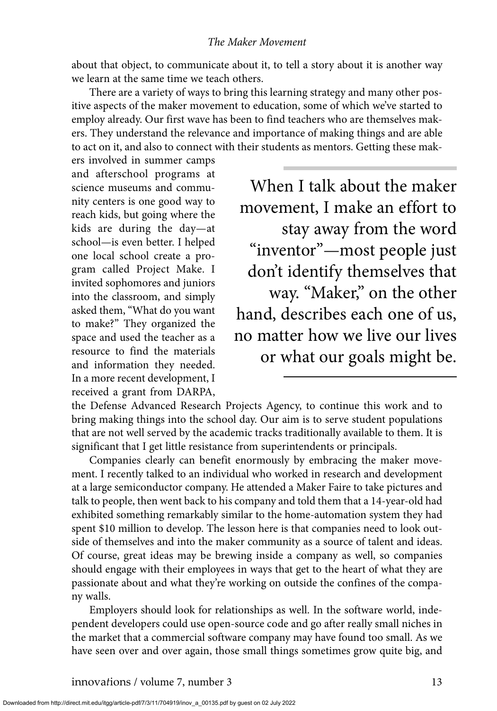about that object, to communicate about it, to tell a story about it is another way we learn at the same time we teach others.

There are a variety of ways to bring this learning strategy and many other positive aspects of the maker movement to education, some of which we've started to employ already. Our first wave has been to find teachers who are themselves makers. They understand the relevance and importance of making things and are able to act on it, and also to connect with their students as mentors. Getting these mak-

ers involved in summer camps and afterschool programs at science museums and community centers is one good way to reach kids, but going where the kids are during the day—at school—is even better. I helped one local school create a program called Project Make. I invited sophomores and juniors into the classroom, and simply asked them, "What do you want to make?" They organized the space and used the teacher as a resource to find the materials and information they needed. In a more recent development, I received a grant from DARPA,

When I talk about the maker movement, I make an effort to stay away from the word "inventor"—most people just don't identify themselves that way. "Maker," on the other hand, describes each one of us, no matter how we live our lives or what our goals might be.

the Defense Advanced Research Projects Agency, to continue this work and to bring making things into the school day. Our aim is to serve student populations that are not well served by the academic tracks traditionally available to them. It is significant that I get little resistance from superintendents or principals.

Companies clearly can benefit enormously by embracing the maker movement. I recently talked to an individual who worked in research and development at a large semiconductor company. He attended a Maker Faire to take pictures and talk to people, then went back to his company and told them that a 14-year-old had exhibited something remarkably similar to the home-automation system they had spent \$10 million to develop. The lesson here is that companies need to look outside of themselves and into the maker community as a source of talent and ideas. Of course, great ideas may be brewing inside a company as well, so companies should engage with their employees in ways that get to the heart of what they are passionate about and what they're working on outside the confines of the company walls.

Employers should look for relationships as well. In the software world, independent developers could use open-source code and go after really small niches in the market that a commercial software company may have found too small. As we have seen over and over again, those small things sometimes grow quite big, and